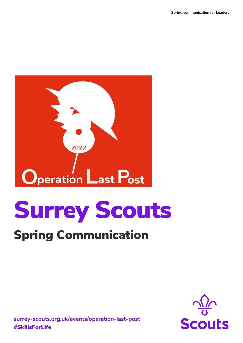

# Surrey Scouts

## Spring Communication



**surrey-scouts.org.uk/events/operation-last-post** #SkillsForLife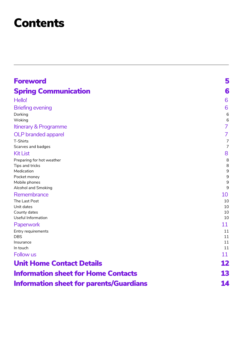## **Contents**

| <b>Foreword</b>                                | 5              |
|------------------------------------------------|----------------|
| <b>Spring Communication</b>                    | 6              |
| Hello!                                         | 6              |
| <b>Briefing evening</b>                        | 6              |
| Dorking                                        | 6              |
| Woking                                         | 6              |
| Itinerary & Programme                          | $\overline{7}$ |
| <b>OLP</b> branded apparel                     | $\overline{7}$ |
| T-Shirts                                       | $\overline{7}$ |
| Scarves and badges                             | $\overline{7}$ |
| <b>Kit List</b>                                | 8              |
| Preparing for hot weather                      | 8              |
| Tips and tricks                                | 8              |
| Medication                                     | 9              |
| Pocket money                                   | 9              |
| Mobile phones<br>Alcohol and Smoking           | 9<br>9         |
| Remembrance                                    | 10             |
| The Last Post                                  | 10             |
| Unit dates                                     | 10             |
| County dates                                   | 10             |
| Useful Information                             | 10             |
| Paperwork                                      | 11             |
| Entry requirements                             | 11             |
| <b>DBS</b>                                     | 11             |
| Insurance                                      | 11             |
| In touch                                       | 11             |
| Follow us                                      | 11             |
| <b>Unit Home Contact Details</b>               | 12             |
| <b>Information sheet for Home Contacts</b>     | 13             |
| <b>Information sheet for parents/Guardians</b> | 14             |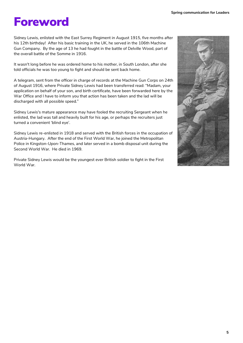## <span id="page-2-0"></span>Foreword

Sidney Lewis, enlisted with the East Surrey Regiment in August 1915, five months after his 12th birthday! After his basic training in the UK, he served in the 106th Machine Gun Company. By the age of 13 he had fought in the battle of Delville Wood, part of the overall battle of the Somme in 1916.

It wasn't long before he was ordered home to his mother, in South London, after she told officials he was too young to fight and should be sent back home.

A telegram, sent from the officer in charge of records at the Machine Gun Corps on 24th of August 1916, where Private Sidney Lewis had been transferred read: "Madam, your application on behalf of your son, and birth certificate, have been forwarded here by the War Office and I have to inform you that action has been taken and the lad will be discharged with all possible speed."

Sidney Lewis's mature appearance may have fooled the recruiting Sergeant when he enlisted, the lad was tall and heavily built for his age, or perhaps the recruiters just turned a convenient 'blind eye'.

Sidney Lewis re-enlisted in 1918 and served with the British forces in the occupation of Austria-Hungary. After the end of the First World War, he joined the Metropolitan Police in Kingston-Upon-Thames, and later served in a bomb disposal unit during the Second World War. He died in 1969.

Private Sidney Lewis would be the youngest ever British soldier to fight in the First World War.

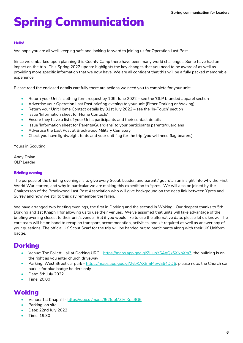## <span id="page-3-0"></span>Spring Communication

#### <span id="page-3-1"></span>Hello!

We hope you are all well, keeping safe and looking forward to joining us for Operation Last Post.

Since we embarked upon planning this County Camp there have been many world challenges. Some have had an impact on the trip. This Spring 2022 update highlights the key changes that you need to be aware of as well as providing more specific information that we now have. We are all confident that this will be a fully packed memorable experience!

Please read the enclosed details carefully there are actions we need you to complete for your unit:

- Return your Unit's clothing form request by 10th June 2022 see the 'OLP branded apparel section
- Advertise your Operation Last Post briefing evening to your unit (Either Dorking or Woking)
- Return your Unit Home Contact details by 31st July 2022 see the 'In-Touch' section
- Issue 'Information sheet for Home Contacts'
- Ensure they have a list of your Units participants and their contact details
- Issue 'Information sheet for Parents/Guardians' to your participants parents/guardians
- Advertise the Last Post at Brookwood Military Cemetery
- Check you have lightweight tents and your unit flag for the trip (you will need flag bearers)

Yours in Scouting

Andy Dolan OLP Leader

#### <span id="page-3-2"></span>Briefing evening

The purpose of the briefing evenings is to give every Scout, Leader, and parent / guardian an insight into why the First World War started, and why in particular we are making this expedition to Ypres. We will also be joined by the Chairperson of the Brookwood Last Post Association who will give background on the deep link between Ypres and Surrey and how we still to this day remember the fallen.

We have arranged two briefing evenings, the first in Dorking and the second in Woking. Our deepest thanks to 5th Dorking and 1st Knaphill for allowing us to use their venues. We've assumed that units will take advantage of the briefing evening closest to their unit's venue. But if you would like to use the alternative date, please let us know. The core team will be on hand to recap on transport, accommodation, activities, and kit required as well as answer any of your questions. The official UK Scout Scarf for the trip will be handed out to participants along with their UK Uniform badge.

## <span id="page-3-3"></span>**Dorking**

- Venue: The Follett Hall at Dorking URC [https://maps.app.goo.gl/ZHuoYSAqQk6XNbXm7,](https://maps.app.goo.gl/ZHuoYSAqQk6XNbXm7) the building is on the right as you enter church driveway
- Parking: West Street car park [https://maps.app.goo.gl/2vbKAXBmM5wE64DD6,](https://maps.app.goo.gl/2vbKAXBmM5wE64DD6) please note, the Church car park is for blue badge holders only
- Date: 5th July 2022
- Time: 20:00

## <span id="page-3-4"></span>**Woking**

- Venue: 1st Knaphill <https://goo.gl/maps/J52fdbMZjViXpa9G6>
- Parking: on site
- Date: 22nd July 2022
- Time: 19:30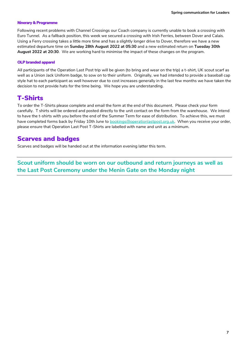#### <span id="page-4-0"></span>Itinerary & Programme

Following recent problems with Channel Crossings our Coach company is currently unable to book a crossing with Euro Tunnel. As a fallback position, this week we secured a crossing with Irish Ferries, between Dover and Calais. Using a Ferry crossing takes a little more time and has a slightly longer drive to Dover, therefore we have a new estimated departure time on **Sunday 28th August 2022 at 05:30** and a new estimated return on **Tuesday 30th August 2022 at 20:30**. We are working hard to minimise the impact of these changes on the program.

#### <span id="page-4-1"></span>OLP branded apparel

All participants of the Operation Last Post trip will be given (to bring and wear on the trip) a t-shirt, UK scout scarf as well as a Union Jack Uniform badge, to sow on to their uniform. Originally, we had intended to provide a baseball cap style hat to each participant as well however due to cost increases generally in the last few months we have taken the decision to not provide hats for the time being. We hope you are understanding.

## <span id="page-4-2"></span>T-Shirts

To order the T-Shirts please complete and email the form at the end of this document. Please check your form carefully. T shirts will be ordered and posted directly to the unit contact on the form from the warehouse. We intend to have the t-shirts with you before the end of the Summer Term for ease of distribution. To achieve this, we must have completed forms back by Friday 10th June to **bookings@operationlastpost.org.uk.** When you receive your order, please ensure that Operation Last Post T-Shirts are labelled with name and unit as a minimum.

### <span id="page-4-3"></span>Scarves and badges

Scarves and badges will be handed out at the information evening latter this term.

**Scout uniform should be worn on our outbound and return journeys as well as the Last Post Ceremony under the Menin Gate on the Monday night**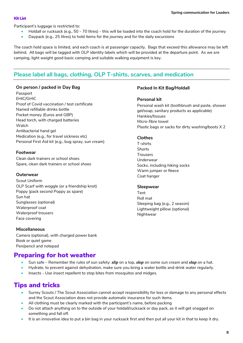#### <span id="page-5-0"></span>Kit List

Participant's luggage is restricted to:

- Holdall or rucksack (e.g., 50 70 litres) this will be loaded into the coach hold for the duration of the journey
- Daypack (e.g., 25 litres) to hold items for the journey and for the daily excursions

The coach hold space is limited, and each coach is at passenger capacity. Bags that exceed this allowance may be left behind. All bags will be tagged with OLP identity labels which will be provided at the departure point. As we are camping, light weight good basic camping and suitable walking equipment is key.

## **Please label all bags, clothing, OLP T-shirts, scarves, and medication**

#### **On person / packed in Day Bag**

Passport EHIC/GHIC Proof of Covid vaccination / test certificate Named refillable drinks bottle Pocket money (Euros and GBP) Head torch, with charged batteries Watch Antibacterial hand gel Medication (e.g., for travel sickness etc) Personal First Aid kit (e.g., bug spray, sun cream)

#### **Footwear**

Clean dark trainers or school shoes Spare, clean dark trainers or school shoes

#### **Outerwear**

Scout Uniform OLP Scarf with woggle (or a friendship knot) Poppy (pack second Poppy as spare) Sun hat Sunglasses (optional) Waterproof coat Waterproof trousers Face covering

### **Packed In Kit Bag/Holdall**

#### **Personal kit**

Personal wash kit (toothbrush and paste, shower gel/soap, sanitary products as applicable) Hankies/tissues Micro-fibre towel Plastic bags or sacks for dirty washing/boots X 2

#### **Clothes**

T-shirts **Shorts Trousers** Underwear Socks, including hiking socks Warm jumper or fleece Coat hanger

#### **Sleepwear**

Tent Roll mat Sleeping bag (e.g., 2 season) Lightweight pillow (optional) Nightwear

#### **Miscellaneous**

Camera (optional), with charged power bank Book or quiet game Pen/pencil and notepad

## <span id="page-5-1"></span>Preparing for hot weather

- Sun safe Remember the rules of sun safety: *slip* on a top, *slop* on some sun cream and *slap* on a hat.
- Hydrate, to prevent against dehydration, make sure you bring a water bottle and drink water regularly.
- Insects Use insect repellent to stop bites from mosquitos and midges.

## <span id="page-5-2"></span>Tips and tricks

- Surrey Scouts / The Scout Association cannot accept responsibility for loss or damage to any personal effects and the Scout Association does not provide automatic insurance for such items.
- All clothing must be clearly marked with the participant's name, before packing
- Do not attach anything on to the outside of your holdall/rucksack or day pack, as it will get snagged on something and fall off.
- It is an innovative idea to put a bin bag in your rucksack first and then put all your kit in that to keep it dry.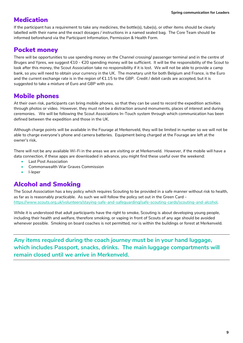## <span id="page-6-0"></span>**Medication**

If the participant has a requirement to take any medicines, the bottle(s), tube(s), or other items should be clearly labelled with their name and the exact dosages / instructions in a named sealed bag. The Core Team should be informed beforehand via the Participant Information, Permission & Health Form.

## <span id="page-6-1"></span>Pocket money

There will be opportunities to use spending money on the Channel crossing/ passenger terminal and in the centre of Bruges and Ypres, we suggest €10 - €20 spending money will be sufficient. It will be the responsibility of the Scout to look after this money, the Scout Association take no responsibility if it is lost. We will not be able to provide a camp bank, so you will need to obtain your currency in the UK. The monetary unit for both Belgium and France, is the Euro and the current exchange rate is in the region of €1.15 to the GBP. Credit / debit cards are accepted, but it is suggested to take a mixture of Euro and GBP with you.

## <span id="page-6-2"></span>Mobile phones

At their own risk, participants can bring mobile phones, so that they can be used to record the expedition activities through photos or video. However, they must not be a distraction around monuments, places of interest and during ceremonies. We will be following the Scout Associations In-Touch system through which communication has been defined between the expedition and those in the UK.

Although charge points will be available in the Fourage at Merkenveld, they will be limited in number so we will not be able to charge everyone's phone and camera batteries. Equipment being charged at the Fourage are left at the owner's risk,

There will not be any available Wi-Fi in the areas we are visiting or at Merkenveld. However, if the mobile will have a data connection, if these apps are downloaded in advance, you might find these useful over the weekend:

- Last Post Association
- Commonwealth War Graves Commission
- I-leper

## <span id="page-6-3"></span>Alcohol and Smoking

The Scout Association has a key policy which requires Scouting to be provided in a safe manner without risk to health, as far as is reasonably practicable. As such we will follow the policy set out in the Green Card https://www.scouts.org.uk/volunteers/staying-safe-and-safeguarding/safe-scouting-cards/scouting-and-alcohol.

While it is understood that adult participants have the right to smoke, Scouting is about developing young people, including their health and welfare, therefore smoking, or vaping in front of Scouts of any age should be avoided whenever possible. Smoking on board coaches is not permitted, nor is within the buildings or forest at Merkenveld.

**Any items required during the coach journey must be in your hand luggage, which includes Passport, snacks, drinks. The main luggage compartments will remain closed until we arrive in Merkenveld.**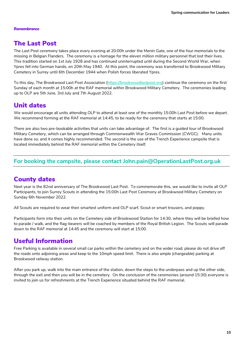#### <span id="page-7-0"></span>**Remembrance**

## <span id="page-7-1"></span>The Last Post

The Last Post ceremony takes place every evening at 20:00h under the Menin Gate, one of the four memorials to the missing in Belgian Flanders. The ceremony is a homage for the eleven million military personnel that lost their lives. This tradition started on 1st July 1928 and has continued uninterrupted until during the Second World War, when Ypres fell into German hands, on 20th May 1940. At this point, the ceremony was transferred to Brookwood Military Cemetery in Surrey until 6th December 1944 when Polish forces liberated Ypres.

To this day, The Brookwood Last Post Association [\(https://brookwoodlastpost.org\)](https://brookwoodlastpost.org/) continue the ceremony on the first Sunday of each month at 15:00h at the RAF memorial within Brookwood Military Cemetery. The ceremonies leading up to OLP are 5th June, 3rd July and 7th August 2022.

## <span id="page-7-2"></span>Unit dates

We would encourage all units attending OLP to attend at least one of the monthly 15:00h Last Post before we depart. We recommend forming at the RAF memorial at 14:45, to be ready for the ceremony that starts at 15:00.

There are also two pre-bookable activities that units can take advantage of. The first is a guided tour of Brookwood Military Cemetery, which can be arranged through Commonwealth War Graves Commission (CWGC). Many units have done so, and it comes highly recommended. The second is the use of the Trench Experience campsite that is located immediately behind the RAF memorial within the Cemetery itself.

### **For booking the campsite, please contact John.pain@OperationLastPost.org.uk**

## <span id="page-7-3"></span>County dates

Next year is the 82nd anniversary of The Brookwood Last Post. To commemorate this, we would like to invite all OLP Participants, to join Surrey Scouts in attending the 15:00h Last Post Ceremony at Brookwood Military Cemetery on Sunday 6th November 2022.

All Scouts are required to wear their smartest uniform and OLP scarf, Scout or smart trousers, and poppy.

Participants form into their units on the Cemetery side of Brookwood Station for 14:30, where they will be briefed how to parade / walk, and the flag-bearers will be coached by members of the Royal British Legion. The Scouts will parade down to the RAF memorial at 14:45 and the ceremony will start at 15:00.

## <span id="page-7-4"></span>Useful Information

Free Parking is available in several small car parks within the cemetery and on the wider road, please do not drive off the roads onto adjoining areas and keep to the 10mph speed limit. There is also ample (chargeable) parking at Brookwood railway station.

After you park up, walk into the main entrance of the station, down the steps to the underpass and up the other side, through the exit and then you will be in the cemetery. On the conclusion of the ceremonies (around 15:30) everyone is invited to join us for refreshments at the Trench Experience situated behind the RAF memorial.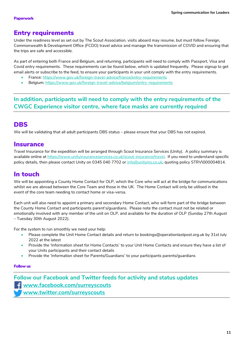## <span id="page-8-1"></span><span id="page-8-0"></span>Entry requirements

Under the readiness level as set out by The Scout Association, visits aboard may resume, but must follow Foreign, Commonwealth & Development Office (FCDO) travel advice and manage the transmission of COVID and ensuring that the trips are safe and accessible.

As part of entering both France and Belgium, and returning, participants will need to comply with Passport, Visa and Covid entry requirements. These requirements can be found below, which is updated frequently. Please signup to get email alerts or subscribe to the feed, to ensure your participants in your unit comply with the entry requirements.

- France:<https://www.gov.uk/foreign-travel-advice/france/entry-requirements>
- Belgium:<https://www.gov.uk/foreign-travel-advice/belgium/entry-requirements>

**In addition, participants will need to comply with the entry requirements of the CWGC Experience visitor centre, where face masks are currently required**

## <span id="page-8-2"></span>DBS

We will be validating that all adult participants DBS status – please ensure that your DBS has not expired.

### <span id="page-8-3"></span>**Insurance**

Travel Insurance for the expedition will be arranged through Scout Insurance Services (Unity). A policy summary is available online at [https://www.unityinsuranceservices.co.uk/scout-insurance/travel.](https://www.unityinsuranceservices.co.uk/scout-insurance/travel) If you need to understand specific policy details, then please contact Unity on 0345 040 7702 or [info@unityins.co.uk,](mailto:info@unityins.co.uk) quoting policy STRV\000004814.

## <span id="page-8-4"></span>In touch

We will be appointing a County Home Contact for OLP, which the Core who will act at the bridge for communications whilst we are abroad between the Core Team and those in the UK. The Home Contact will only be utilised in the event of the core team needing to contact home or visa-versa.

Each unit will also need to appoint a primary and secondary Home Contact, who will form part of the bridge between the County Home Contact and participants parent's/guardians. Please note the contact must not be related or emotionally involved with any member of the unit on OLP, and available for the duration of OLP (Sunday 27th August – Tuesday 30th August 2022).

For the system to run smoothly we need your help:

- Please complete the Unit Home Contact details and return to [bookings@operationlastpost.org.uk](mailto:bookings@operationlastpost.org.uk) by 31st July 2022 at the latest
- Provide the 'Information sheet for Home Contacts' to your Unit Home Contacts and ensure they have a list of your Units participants and their contact details
- Provide the 'Information sheet for Parents/Guardians' to your participants parents/guardians

#### <span id="page-8-5"></span>Follow us

**Follow our Facebook and Twitter feeds for activity and status updates [www.facebook.com/surreyscouts](http://www.facebook.com/surreyscouts) [www.twitter.com/surreyscouts](http://www.twitter.com/surreyscouts)**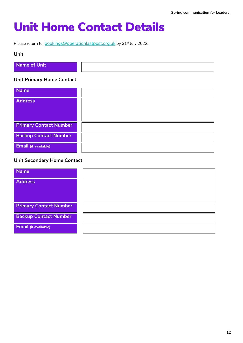## <span id="page-9-0"></span>Unit Home Contact Details

Please return to: **[bookings@operationlastpost.org.uk](mailto:bookings@operationlastpost.org.uk)** by 31<sup>st</sup> July 2022.,

#### **Unit**

| Name of Unit |  |
|--------------|--|
|              |  |
|              |  |
|              |  |

#### **Unit Primary Home Contact**

| <b>Name</b>                   |  |
|-------------------------------|--|
| <b>Address</b>                |  |
|                               |  |
|                               |  |
| <b>Primary Contact Number</b> |  |
| <b>Backup Contact Number</b>  |  |
| <b>Email</b> (if available)   |  |

### **Unit Secondary Home Contact**

| <b>Name</b>                   |  |
|-------------------------------|--|
| <b>Address</b>                |  |
|                               |  |
| <b>Primary Contact Number</b> |  |
| <b>Backup Contact Number</b>  |  |
| Email (if available)          |  |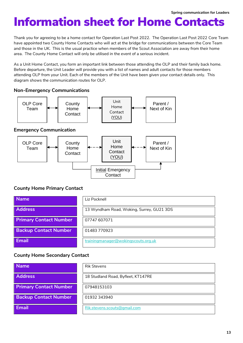## <span id="page-10-0"></span>Information sheet for Home Contacts

Thank you for agreeing to be a home contact for Operation Last Post 2022. The Operation Last Post 2022 Core Team have appointed two County Home Contacts who will act at the bridge for communications between the Core Team and those in the UK. This is the usual practice when members of the Scout Association are away from their home area. The County Home Contact will only be utilised in the event of a serious incident.

As a Unit Home Contact, you form an important link between those attending the OLP and their family back home. Before departure, the Unit Leader will provide you with a list of names and adult contacts for those members attending OLP from your Unit. Each of the members of the Unit have been given your contact details only. This diagram shows the communication routes for OLP.

#### **Non-Emergency Communications**



### **County Home Primary Contact**

| <b>Name</b>                   | Liz Pocknell                              |
|-------------------------------|-------------------------------------------|
| <b>Address</b>                | 13 Wyndham Road, Woking, Surrey, GU21 3DS |
| <b>Primary Contact Number</b> | 07747 607071                              |
| <b>Backup Contact Number</b>  | 01483770923                               |
| <b>Email</b>                  | trainingmanager@wokingscouts.org.uk       |

### **County Home Secondary Contact**

| <b>Name</b>                   | <b>Rik Stevens</b>                 |
|-------------------------------|------------------------------------|
| <b>Address</b>                | 18 Studland Road, Byfleet, KT147RE |
| <b>Primary Contact Number</b> | 07948153103                        |
| <b>Backup Contact Number</b>  | 01932 343940                       |
| <b>Email</b>                  | Rik.stevens.scouts@gmail.com       |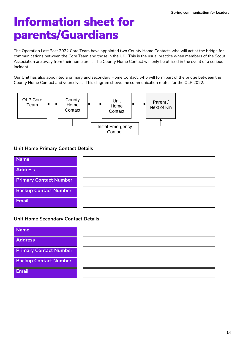## <span id="page-11-0"></span>Information sheet for parents/Guardians

The Operation Last Post 2022 Core Team have appointed two County Home Contacts who will act at the bridge for communications between the Core Team and those in the UK. This is the usual practice when members of the Scout Association are away from their home area. The County Home Contact will only be utilised in the event of a serious incident.

Our Unit has also appointed a primary and secondary Home Contact, who will form part of the bridge between the County Home Contact and yourselves. This diagram shows the communication routes for the OLP 2022.



### **Unit Home Primary Contact Details**



### **Unit Home Secondary Contact Details**

| <b>Name</b>                   |  |
|-------------------------------|--|
| <b>Address</b>                |  |
| <b>Primary Contact Number</b> |  |
| <b>Backup Contact Number</b>  |  |
| <b>Email</b>                  |  |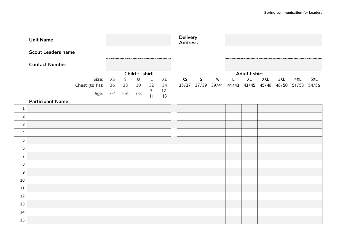|                  | <b>Unit Name</b>          |                 |               |                  |    |             | <b>Delivery</b><br><b>Address</b> |    |   |   |              |                                           |            |     |         |       |  |  |
|------------------|---------------------------|-----------------|---------------|------------------|----|-------------|-----------------------------------|----|---|---|--------------|-------------------------------------------|------------|-----|---------|-------|--|--|
|                  | <b>Scout Leaders name</b> |                 |               |                  |    |             |                                   |    |   |   |              |                                           |            |     |         |       |  |  |
|                  | <b>Contact Number</b>     |                 |               |                  |    |             |                                   |    |   |   |              |                                           |            |     |         |       |  |  |
|                  |                           |                 | Child t-shirt |                  |    |             |                                   |    |   |   |              | Adult t shirt                             |            |     |         |       |  |  |
|                  |                           | Size:           | XS            | $\mathsf{S}$     | M  | L           | XL                                | XS | S | M | $\mathsf{L}$ | XL                                        | <b>XXL</b> | 3XL | 4XL     | 5XL   |  |  |
|                  |                           | Chest (to fit): | 26            | 28               | 30 | 32          | 34                                |    |   |   |              | 35/37 37/39 39/41 41/43 43/45 45/48 48/50 |            |     | $51/53$ | 54/56 |  |  |
|                  |                           |                 |               | Age: 3-4 5-6 7-8 |    | $9 -$<br>11 | $12 -$<br>13                      |    |   |   |              |                                           |            |     |         |       |  |  |
|                  | <b>Participant Name</b>   |                 |               |                  |    |             |                                   |    |   |   |              |                                           |            |     |         |       |  |  |
| $\mathbf{1}$     |                           |                 |               |                  |    |             |                                   |    |   |   |              |                                           |            |     |         |       |  |  |
| $\overline{a}$   |                           |                 |               |                  |    |             |                                   |    |   |   |              |                                           |            |     |         |       |  |  |
| $\mathfrak{S}$   |                           |                 |               |                  |    |             |                                   |    |   |   |              |                                           |            |     |         |       |  |  |
| $\overline{4}$   |                           |                 |               |                  |    |             |                                   |    |   |   |              |                                           |            |     |         |       |  |  |
| 5                |                           |                 |               |                  |    |             |                                   |    |   |   |              |                                           |            |     |         |       |  |  |
| 6                |                           |                 |               |                  |    |             |                                   |    |   |   |              |                                           |            |     |         |       |  |  |
| $\overline{7}$   |                           |                 |               |                  |    |             |                                   |    |   |   |              |                                           |            |     |         |       |  |  |
| $\bf 8$          |                           |                 |               |                  |    |             |                                   |    |   |   |              |                                           |            |     |         |       |  |  |
| $\boldsymbol{9}$ |                           |                 |               |                  |    |             |                                   |    |   |   |              |                                           |            |     |         |       |  |  |
| 10               |                           |                 |               |                  |    |             |                                   |    |   |   |              |                                           |            |     |         |       |  |  |
| 11               |                           |                 |               |                  |    |             |                                   |    |   |   |              |                                           |            |     |         |       |  |  |
| 12               |                           |                 |               |                  |    |             |                                   |    |   |   |              |                                           |            |     |         |       |  |  |
| 13               |                           |                 |               |                  |    |             |                                   |    |   |   |              |                                           |            |     |         |       |  |  |
| 14               |                           |                 |               |                  |    |             |                                   |    |   |   |              |                                           |            |     |         |       |  |  |
| 15               |                           |                 |               |                  |    |             |                                   |    |   |   |              |                                           |            |     |         |       |  |  |